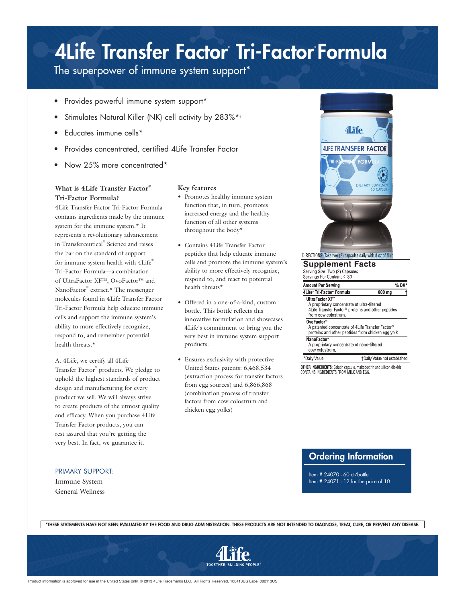## 4Life Transfer Factor Tri-Factor Formula

The superpower of immune system support\*

- Provides powerful immune system support\*
- Stimulates Natural Killer (NK) cell activity by 283%\*+
- Educates immune cells\*
- Provides concentrated, certified 4Life Transfer Factor
- Now 25% more concentrated\*

### **What is 4Life Transfer Factor® Tri-Factor Formula?**

4Life Transfer Factor Tri-Factor Formula contains ingredients made by the immune system for the immune system.\* It represents a revolutionary advancement in Transferceutical® Science and raises the bar on the standard of support for immune system health with 4Life® Tri-Factor Formula—a combination of UltraFactor XF™, OvoFactor™ and NanoFactor® extract.\* The messenger molecules found in 4Life Transfer Factor Tri-Factor Formula help educate immune cells and support the immune system's ability to more effectively recognize, respond to, and remember potential health threats.\*

At 4Life, we certify all 4Life Transfer Factor® products. We pledge to uphold the highest standards of product design and manufacturing for every product we sell. We will always strive to create products of the utmost quality and efficacy. When you purchase 4Life Transfer Factor products, you can rest assured that you're getting the very best. In fact, we guarantee it.

### PRIMARY SUPPORT:

Immune System General Wellness

#### **Key features**

- • Promotes healthy immune system function that, in turn, promotes increased energy and the healthy function of all other systems throughout the body\*
- • Contains 4Life Transfer Factor peptides that help educate immune cells and promote the immune system's ability to more effectively recognize, respond to, and react to potential health threats\*
- Offered in a one-of-a-kind, custom bottle. This bottle reflects this innovative formulation and showcases 4Life's commitment to bring you the very best in immune system support products.
- • Ensures exclusivity with protective United States patents: 6,468,534 (extraction process for transfer factors from egg sources) and 6,866,868 (combination process of transfer factors from cow colostrum and chicken egg yolks)



#### **Supplement Facts** Serving Size: Two (2) Capsules<br>Servings Per Container: 30 Amount Per Serving  $%$  DV 4Life® Tri-Factor® Formula  $600 \text{ mg}$ **UltraFactor XF"** A proprietary concentrate of ultra-filtered<br>4Life Transfer Factor® proteins and other peptides from cow colostrum. OvoFactor® A patented concentrate of 4Life Transfer Factor®<br>proteins and other peptides from chicken egg yolk. **NanoFactor®** A proprietary concentrate of nano-filtered cow colostrum. +Daily Value not established \*Daily Value

**OTHER INGREDIENTS:** Gelatin capsule, maltodextrin and silicon dioxide.<br>CONTAINS INGREDIENTS FROM MILK AND EGG.

## Ordering Information

Item # 24070 - 60 ct/bottle Item # 24071 - 12 for the price of 10

\*THESE STATEMENTS HAVE NOT BEEN EVALUATED BY THE FOOD AND DRUG ADMINISTRATION. THESE PRODUCTS ARE NOT INTENDED TO DIAGNOSE, TREAT, CURE, OR PREVENT ANY DISEASE.